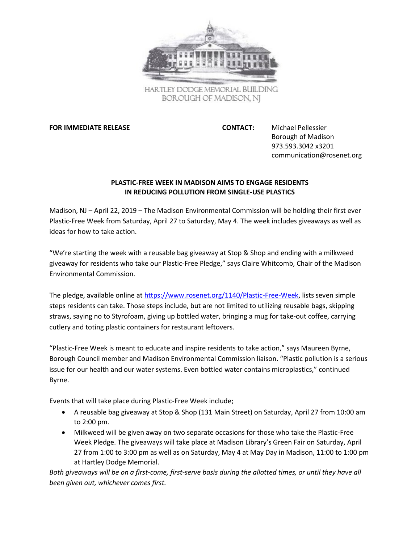

HARTLEY DODGE MEMORIAL BUILDING BOROUGH OF MADISON, NJ

**FOR IMMEDIATE RELEASE CONTACT:** Michael Pellessier

Borough of Madison 973.593.3042 x3201 communication@rosenet.org

## **PLASTIC-FREE WEEK IN MADISON AIMS TO ENGAGE RESIDENTS IN REDUCING POLLUTION FROM SINGLE-USE PLASTICS**

Madison, NJ – April 22, 2019 – The Madison Environmental Commission will be holding their first ever Plastic-Free Week from Saturday, April 27 to Saturday, May 4. The week includes giveaways as well as ideas for how to take action.

"We're starting the week with a reusable bag giveaway at Stop & Shop and ending with a milkweed giveaway for residents who take our Plastic-Free Pledge," says Claire Whitcomb, Chair of the Madison Environmental Commission.

The pledge, available online a[t https://www.rosenet.org/1140/Plastic-Free-Week,](https://www.rosenet.org/1140/Plastic-Free-Week) lists seven simple steps residents can take. Those steps include, but are not limited to utilizing reusable bags, skipping straws, saying no to Styrofoam, giving up bottled water, bringing a mug for take-out coffee, carrying cutlery and toting plastic containers for restaurant leftovers.

"Plastic-Free Week is meant to educate and inspire residents to take action," says Maureen Byrne, Borough Council member and Madison Environmental Commission liaison. "Plastic pollution is a serious issue for our health and our water systems. Even bottled water contains microplastics," continued Byrne.

Events that will take place during Plastic-Free Week include;

- A reusable bag giveaway at Stop & Shop (131 Main Street) on Saturday, April 27 from 10:00 am to 2:00 pm.
- Milkweed will be given away on two separate occasions for those who take the Plastic-Free Week Pledge. The giveaways will take place at Madison Library's Green Fair on Saturday, April 27 from 1:00 to 3:00 pm as well as on Saturday, May 4 at May Day in Madison, 11:00 to 1:00 pm at Hartley Dodge Memorial.

*Both giveaways will be on a first-come, first-serve basis during the allotted times, or until they have all been given out, whichever comes first.*